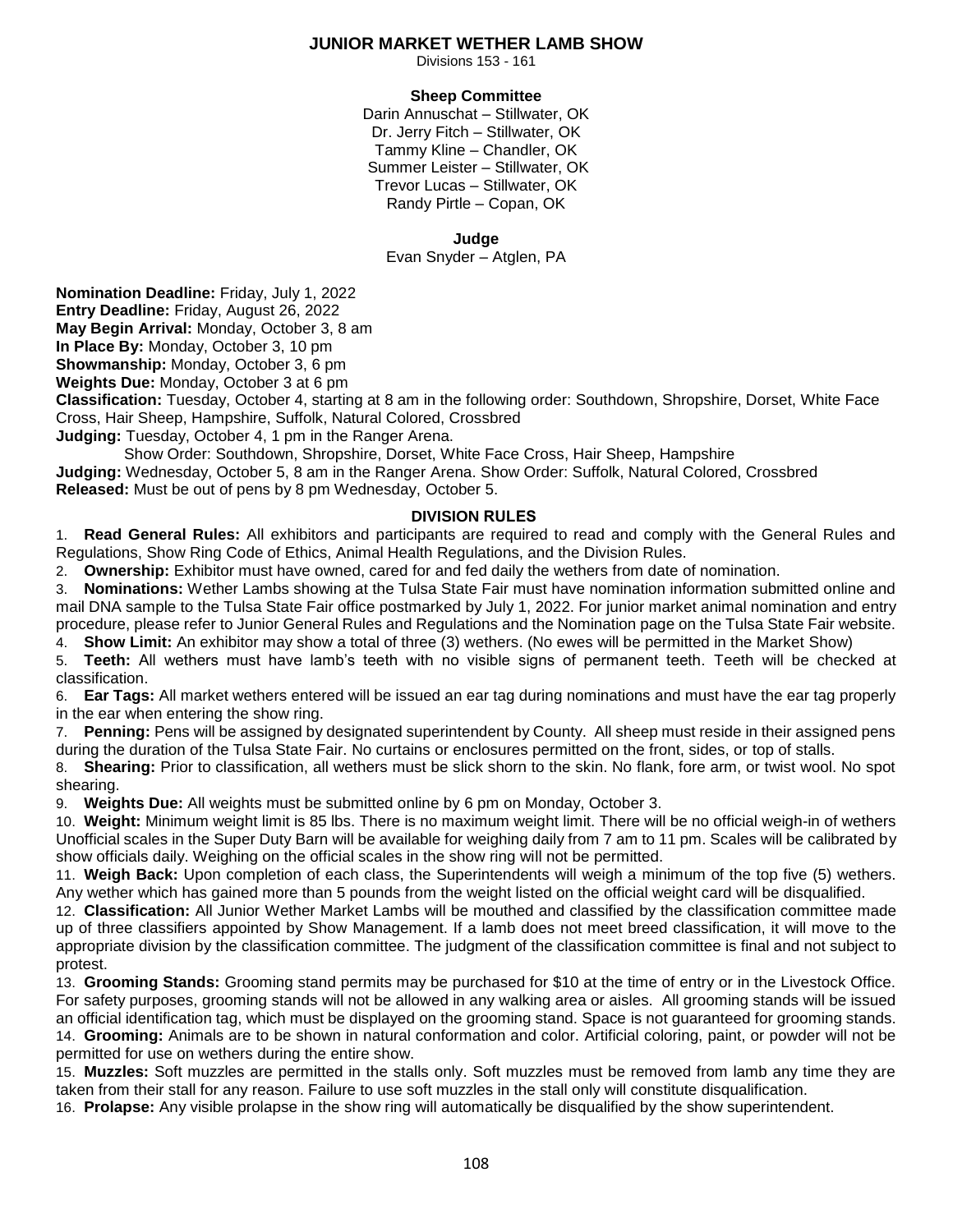## **JUNIOR MARKET WETHER LAMB SHOW**

Divisions 153 - 161

### **Sheep Committee**

Darin Annuschat – Stillwater, OK Dr. Jerry Fitch – Stillwater, OK Tammy Kline – Chandler, OK Summer Leister – Stillwater, OK Trevor Lucas – Stillwater, OK Randy Pirtle – Copan, OK

### **Judge**

Evan Snyder – Atglen, PA

**Nomination Deadline:** Friday, July 1, 2022

**Entry Deadline:** Friday, August 26, 2022

**May Begin Arrival:** Monday, October 3, 8 am

**In Place By:** Monday, October 3, 10 pm

**Showmanship:** Monday, October 3, 6 pm

**Weights Due:** Monday, October 3 at 6 pm

**Classification:** Tuesday, October 4, starting at 8 am in the following order: Southdown, Shropshire, Dorset, White Face Cross, Hair Sheep, Hampshire, Suffolk, Natural Colored, Crossbred

**Judging:** Tuesday, October 4, 1 pm in the Ranger Arena.

 Show Order: Southdown, Shropshire, Dorset, White Face Cross, Hair Sheep, Hampshire **Judging:** Wednesday, October 5, 8 am in the Ranger Arena. Show Order: Suffolk, Natural Colored, Crossbred **Released:** Must be out of pens by 8 pm Wednesday, October 5.

# **DIVISION RULES**

1. **Read General Rules:** All exhibitors and participants are required to read and comply with the General Rules and Regulations, Show Ring Code of Ethics, Animal Health Regulations, and the Division Rules.

2. **Ownership:** Exhibitor must have owned, cared for and fed daily the wethers from date of nomination.

3. **Nominations:** Wether Lambs showing at the Tulsa State Fair must have nomination information submitted online and mail DNA sample to the Tulsa State Fair office postmarked by July 1, 2022. For junior market animal nomination and entry procedure, please refer to Junior General Rules and Regulations and the Nomination page on the Tulsa State Fair website. 4. **Show Limit:** An exhibitor may show a total of three (3) wethers. (No ewes will be permitted in the Market Show)

5. **Teeth:** All wethers must have lamb's teeth with no visible signs of permanent teeth. Teeth will be checked at classification.

6. **Ear Tags:** All market wethers entered will be issued an ear tag during nominations and must have the ear tag properly in the ear when entering the show ring.

7. **Penning:** Pens will be assigned by designated superintendent by County. All sheep must reside in their assigned pens during the duration of the Tulsa State Fair. No curtains or enclosures permitted on the front, sides, or top of stalls.

8. **Shearing:** Prior to classification, all wethers must be slick shorn to the skin. No flank, fore arm, or twist wool. No spot shearing.

9. **Weights Due:** All weights must be submitted online by 6 pm on Monday, October 3.

10. **Weight:** Minimum weight limit is 85 lbs. There is no maximum weight limit. There will be no official weigh-in of wethers Unofficial scales in the Super Duty Barn will be available for weighing daily from 7 am to 11 pm. Scales will be calibrated by show officials daily. Weighing on the official scales in the show ring will not be permitted.

11. **Weigh Back:** Upon completion of each class, the Superintendents will weigh a minimum of the top five (5) wethers. Any wether which has gained more than 5 pounds from the weight listed on the official weight card will be disqualified.

12. **Classification:** All Junior Wether Market Lambs will be mouthed and classified by the classification committee made up of three classifiers appointed by Show Management. If a lamb does not meet breed classification, it will move to the appropriate division by the classification committee. The judgment of the classification committee is final and not subject to protest.

13. **Grooming Stands:** Grooming stand permits may be purchased for \$10 at the time of entry or in the Livestock Office. For safety purposes, grooming stands will not be allowed in any walking area or aisles. All grooming stands will be issued an official identification tag, which must be displayed on the grooming stand. Space is not guaranteed for grooming stands. 14. **Grooming:** Animals are to be shown in natural conformation and color. Artificial coloring, paint, or powder will not be permitted for use on wethers during the entire show.

15. **Muzzles:** Soft muzzles are permitted in the stalls only. Soft muzzles must be removed from lamb any time they are taken from their stall for any reason. Failure to use soft muzzles in the stall only will constitute disqualification.

16. **Prolapse:** Any visible prolapse in the show ring will automatically be disqualified by the show superintendent.